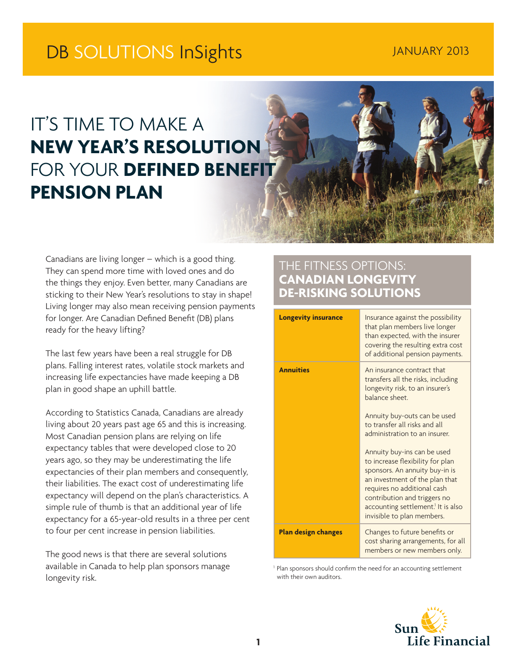# DB SOLUTIONS InSights JANUARY 2013

# IT'S TIME TO MAKE A **NEW YEAR'S RESOLUTION FOR YOUR DEFINED BENEFIT PENSION PLAN**

Canadians are living longer – which is a good thing. They can spend more time with loved ones and do the things they enjoy. Even better, many Canadians are sticking to their New Year's resolutions to stay in shape! Living longer may also mean receiving pension payments for longer. Are Canadian Defined Benefit (DB) plans ready for the heavy lifting?

The last few years have been a real struggle for DB plans. Falling interest rates, volatile stock markets and increasing life expectancies have made keeping a DB plan in good shape an uphill battle.

According to Statistics Canada, Canadians are already living about 20 years past age 65 and this is increasing. Most Canadian pension plans are relying on life expectancy tables that were developed close to 20 years ago, so they may be underestimating the life expectancies of their plan members and consequently, their liabilities. The exact cost of underestimating life expectancy will depend on the plan's characteristics. A simple rule of thumb is that an additional year of life expectancy for a 65-year-old results in a three per cent to four per cent increase in pension liabilities.

The good news is that there are several solutions available in Canada to help plan sponsors manage longevity risk.

# THE FITNESS OPTIONS: **CANADIAN LONGEVITY DE-RISKING SOLUTIONS**

| <b>Longevity insurance</b> | Insurance against the possibility<br>that plan members live longer<br>than expected, with the insurer<br>covering the resulting extra cost<br>of additional pension payments.                                                                                                      |
|----------------------------|------------------------------------------------------------------------------------------------------------------------------------------------------------------------------------------------------------------------------------------------------------------------------------|
| <b>Annuities</b>           | An insurance contract that<br>transfers all the risks, including<br>longevity risk, to an insurer's<br>balance sheet.                                                                                                                                                              |
|                            | Annuity buy-outs can be used<br>to transfer all risks and all<br>administration to an insurer.                                                                                                                                                                                     |
|                            | Annuity buy-ins can be used<br>to increase flexibility for plan<br>sponsors. An annuity buy-in is<br>an investment of the plan that<br>requires no additional cash<br>contribution and triggers no<br>accounting settlement. <sup>1</sup> It is also<br>invisible to plan members. |
| <b>Plan design changes</b> | Changes to future benefits or<br>cost sharing arrangements, for all<br>members or new members only.                                                                                                                                                                                |

<sup>1</sup> Plan sponsors should confirm the need for an accounting settlement with their own auditors.